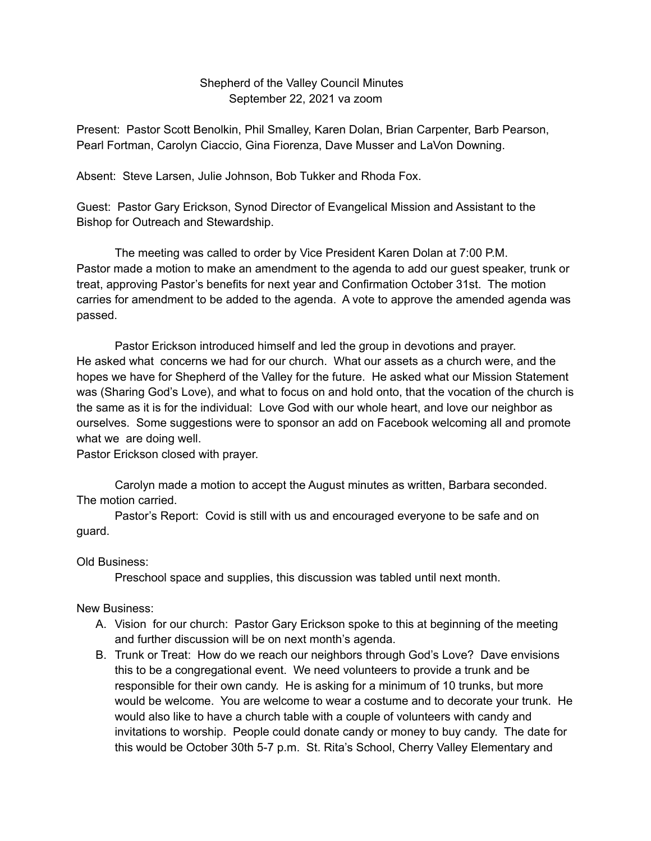## Shepherd of the Valley Council Minutes September 22, 2021 va zoom

Present: Pastor Scott Benolkin, Phil Smalley, Karen Dolan, Brian Carpenter, Barb Pearson, Pearl Fortman, Carolyn Ciaccio, Gina Fiorenza, Dave Musser and LaVon Downing.

Absent: Steve Larsen, Julie Johnson, Bob Tukker and Rhoda Fox.

Guest: Pastor Gary Erickson, Synod Director of Evangelical Mission and Assistant to the Bishop for Outreach and Stewardship.

The meeting was called to order by Vice President Karen Dolan at 7:00 P.M. Pastor made a motion to make an amendment to the agenda to add our guest speaker, trunk or treat, approving Pastor's benefits for next year and Confirmation October 31st. The motion carries for amendment to be added to the agenda. A vote to approve the amended agenda was passed.

Pastor Erickson introduced himself and led the group in devotions and prayer. He asked what concerns we had for our church. What our assets as a church were, and the hopes we have for Shepherd of the Valley for the future. He asked what our Mission Statement was (Sharing God's Love), and what to focus on and hold onto, that the vocation of the church is the same as it is for the individual: Love God with our whole heart, and love our neighbor as ourselves. Some suggestions were to sponsor an add on Facebook welcoming all and promote what we are doing well.

Pastor Erickson closed with prayer.

Carolyn made a motion to accept the August minutes as written, Barbara seconded. The motion carried.

Pastor's Report: Covid is still with us and encouraged everyone to be safe and on guard.

Old Business:

Preschool space and supplies, this discussion was tabled until next month.

New Business:

- A. Vision for our church: Pastor Gary Erickson spoke to this at beginning of the meeting and further discussion will be on next month's agenda.
- B. Trunk or Treat: How do we reach our neighbors through God's Love? Dave envisions this to be a congregational event. We need volunteers to provide a trunk and be responsible for their own candy. He is asking for a minimum of 10 trunks, but more would be welcome. You are welcome to wear a costume and to decorate your trunk. He would also like to have a church table with a couple of volunteers with candy and invitations to worship. People could donate candy or money to buy candy. The date for this would be October 30th 5-7 p.m. St. Rita's School, Cherry Valley Elementary and